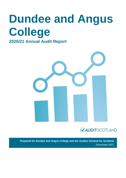# **Dundee and Angus College 2020/21 Annual Audit Report**





**Prepared for Dundee and Angus College and the Auditor General for Scotland** December 2021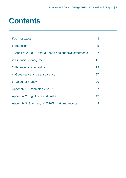# **Contents**

| Key messages                                               | 3  |
|------------------------------------------------------------|----|
| <b>Introduction</b>                                        | 5  |
| 1. Audit of 2020/21 annual report and financial statements | 7  |
| 2. Financial management                                    | 15 |
| 3. Financial sustainability                                | 19 |
| 4. Governance and transparency                             | 27 |
| 5. Value for money                                         | 29 |
| Appendix 1. Action plan 2020/21                            | 37 |
| Appendix 2. Significant audit risks                        | 42 |
| Appendix 3. Summary of 2020/21 national reports            | 48 |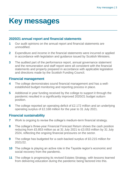# <span id="page-2-0"></span>**Key messages**

# **2020/21 annual report and financial statements**

- **1** Our audit opinions on the annual report and financial statements are unmodified.
- **2** Expenditure and income in the financial statements were incurred or applied in accordance with legislation and guidance issued by Scottish Ministers.
- **3** The audited part of the performance report, annual governance statement and the remuneration and staff report were all consistent with the financial statements and properly prepared in accordance with applicable legislation and directions made by the Scottish Funding Council.

# **Financial management**

- **4** The college demonstrates sound financial management and has a wellestablished budget monitoring and reporting process in place.
- **5** Additional in year funding received by the college to support it through the pandemic resulted in a significantly improved 2020/21 budget outturn position.
- **6** The college reported an operating deficit of £2.172 million and an underlying operating surplus of £2.168 million for the year to 31 July 2021.

# **Financial sustainability**

- **7** Work is ongoing to revise the college's medium-term financial strategy.
- **8** The college's three-year Financial Forecast Return shows the cash position reducing from £5.853 million as at 31 July 2021 to £3.053 million by 31 July 2024, reflecting the ongoing financial pressures on the sector.
- **9** The college has budgeted for a cash-backed surplus of £0.215 million for 2021/22.
- **10** The college is playing an active role in the Tayside region's economic and social recovery from the pandemic.
- **11** The college is progressing its revised Estates Strategy, with lessons learned from delivering education during the pandemic being factored into this.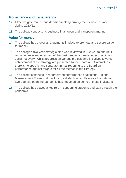# **Governance and transparency**

- **12** Effective governance and decision-making arrangements were in place during 2020/21.
- **13** The college conducts its business in an open and transparent manner.

# **Value for money**

- **14** The college has proper arrangements in place to promote and secure value for money.
- **15** The college's five-year strategic plan was reviewed in 2020/21 to ensure it remained relevant in respect of the post pandemic needs for economic and social recovery. Whilst progress on various projects and initiatives towards achievement of the strategy are presented to the Board and Committees, there is no specific and separate annual reporting to the Board on performance against targets for all the metrics in the Strategy.
- **16** The college continues to report strong performance against the National Measurement Framework, including satisfaction results above the national average, although the pandemic has impacted on some of these indicators.
- **17** The college has played a key role in supporting students and staff through the pandemic.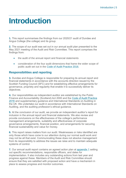# <span id="page-4-0"></span>**Introduction**

**1.** This report summarises the findings from our 2020/21 audit of Dundee and Angus College (the college) and its group.

**2.** The scope of our audit was set out in our annual audit plan presented to the May 2021 meeting of the Audit and Risk Committee. This report comprises the findings from:

- the audit of the annual report and financial statements
- consideration of the four audit dimensions that frame the wider scope of public audit set out in the [Code of Audit Practice 2016.](https://www.audit-scotland.gov.uk/report/code-of-audit-practice-2016)

# **Responsibilities and reporting**

**3.** Dundee and Angus College is responsible for preparing its annual report and financial statements in accordance with the accounts direction issued by the Scottish Funding Council (SFC) and for establishing effective arrangements for governance, propriety and regularity that enable it to successfully deliver its objectives.

**4.** Our responsibilities as independent auditor are established by the Public Finance and Accountability (Scotland) Act 2000 and the [Code of Audit Practice](https://www.audit-scotland.gov.uk/report/code-of-audit-practice-2016)  [2016](https://www.audit-scotland.gov.uk/report/code-of-audit-practice-2016) and supplementary guidance and International Standards on Auditing in the UK. We undertake our audit in accordance with International Standards on Auditing, and the auditing profession's ethical guidance.

**5.** At the conclusion of our audit, we provide an independent auditor's report for inclusion in the annual report and financial statements. We also review and provide conclusions on the effectiveness of the college's performance management arrangements, suitability and effectiveness of corporate governance arrangements, financial position, and arrangements for securing financial sustainability and value for money.

**6.** This report raises matters from our audit. Weaknesses or risks identified are only those which have come to our attention during our normal audit work and may not be all that exist. Communicating these does not absolve management from its responsibility to address the issues we raise and to maintain adequate systems of control.

**7.** Our annual audit report contains an agreed action plan at [appendix](#page-36-0) 1 setting out specific recommendations, responsible officers, and dates for implementation. It also includes any outstanding actions from last year and progress against these. Members of the Audit and Risk Committee should ensure that they are satisfied with proposed action and have a mechanism in place to assess progress and monitor outcomes.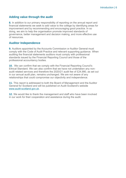# **Adding value through the audit**

**8.** In addition to our primary responsibility of reporting on the annual report and financial statements we seek to add value to the college by identifying areas for improvement and by recommending and encouraging good practice. In so doing, we aim to help the organisation promote improved standards of governance, better management and decision making, and more effective use of resources.

# **Auditor Independence**

**9.** Auditors appointed by the Accounts Commission or Auditor General must comply with the Code of Audit Practice and relevant supporting guidance. When auditing the financial statements auditors must comply with professional standards issued by the Financial Reporting Council and those of the professional accountancy bodies.

**10.** We can confirm that we comply with the Financial Reporting Council's Ethical Standard. We can also confirm that we have not undertaken any nonaudit related services and therefore the 2020/21 audit fee of £24,990, as set out in our annual audit plan, remains unchanged. We are not aware of any relationships that could compromise our objectivity and independence.

**11.** This report is addressed to both the Board of Management and the Auditor General for Scotland and will be published on Audit Scotland's website [www.audit-scotland.gov.uk.](https://auditscotland.sharepoint.com/sites/DundeeandAngusCollege/WIP/Draft%20Reports/www.audit-scotland.gov.uk)

**12.** We would like to thank the management and staff who have been involved in our work for their cooperation and assistance during the audit.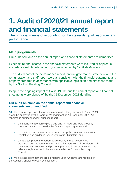# <span id="page-6-0"></span>**1. Audit of 2020/21 annual report and financial statements**

The principal means of accounting for the stewardship of resources and performance

# **Main judgements**

Our audit opinions on the annual report and financial statements are unmodified.

Expenditure and income in the financial statements were incurred or applied in accordance with legislation and guidance issued by Scottish Ministers.

The audited part of the performance report, annual governance statement and the remuneration and staff report were all consistent with the financial statements and properly prepared in accordance with applicable legislation and directions made by the Scottish Funding Council.

Despite the ongoing impact of Covid-19, the audited annual report and financial statements were signed off by the 31 December 2021 deadline.

# **Our audit opinions on the annual report and financial statements are unmodified**

**13.** The annual report and financial statements for the year ended 31 July 2021 are to be approved by the Board of Management on 14 December 2021. As reported in our independent auditor's report:

- the financial statements give a true and fair view and were properly prepared in accordance with the financial reporting framework,
- expenditure and income were incurred or applied in accordance with legislation and guidance issued by Scottish Ministers, and
- the audited part of the performance report, annual governance statement and the remuneration and staff report were all consistent with the financial statements and properly prepared in accordance with the relevant legislation and directions made by the Scottish Funding Council.

**14.** We are satisfied that there are no matters upon which we are required by the Auditor General to report by exception.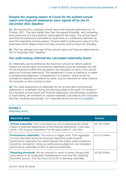# **Despite the ongoing impact of Covid-19, the audited annual report and financial statements were signed off by the 31 December 2021 deadline**

**15.** We received the unaudited annual report and financial statements on 13 October 2021. This was slightly later than the agreed timetable, with competing work pressures and the pandemic responsible for this delay. The annual report and financial statements submitted for audit were of a satisfactory standard as were the supporting working papers. Finance staff provided good support to the audit team which helped ensure the final accounts audit process ran smoothly.

**16.** This has allowed us to sign off the annual report and financial statements by the 31 December 2021 deadline.

# **Our audit testing reflected the calculated materiality levels**

**17.** Materiality can be defined as the maximum amount by which auditors believe the annual report and financial statements could be misstated and still not be expected to affect the perceptions and decisions of users of the annual report and financial statements. The assessment of what is material is a matter of professional judgement. A misstatement or omission, which would not normally be regarded as material by value, may be important for other reasons (for example, an item contrary to law).

**18.** Our initial assessment of materiality for the annual report and financial statements is undertaken during the planning phase of the audit. On receipt of the unaudited annual report and financial statements, and following completion of audit testing, we reviewed our original materiality calculations and concluded that they remained appropriate. Our materiality levels are set out at [exhibit](#page-7-0) 1.

# <span id="page-7-0"></span>**Exhibit 1**

Materiality levels

| <b>Materiality level</b>                                                                                                                                                                                                                                                                                                                                              | <b>Amount</b>  |
|-----------------------------------------------------------------------------------------------------------------------------------------------------------------------------------------------------------------------------------------------------------------------------------------------------------------------------------------------------------------------|----------------|
| <b>Overall materiality-</b> This is the figure we use in assessing the overall<br>impact of potential adjustments on the financial statements. It has been<br>set at 1.5% of gross expenditure for the year ended 31 July 2021.                                                                                                                                       | £0.730 million |
| <b>Performance materiality-</b> This acts as a trigger point. If the aggregate<br>of errors identified during the financial statements audit exceeds<br>performance materiality this would indicate that further audit procedures<br>should be considered. Using our professional judgement, we calculated<br>performance materiality at 65% of planning materiality. | £0.475 million |
| <b>Reporting threshold-</b> We are required to report to those charged with<br>governance on all unadjusted misstatements more than the 'reporting<br>threshold' amount. This has been set at 5% of planning materiality.                                                                                                                                             | £0.035 million |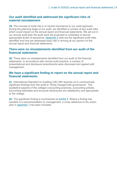# **Our audit identified and addressed the significant risks of material misstatement**

**19.** The concept of audit risk is of central importance to our audit approach. During the planning stage of our audit, we identified a number of key audit risks which could impact on the annual report and financial statements. We set out in our annual audit plan the audit work we proposed to undertake to secure appropriate levels of assurance. [Appendix 2](#page-41-0) sets out the significant audit risks identified and how we addressed each risk in arriving at our opinion on the annual report and financial statements.

# **There were no misstatements identified from our audit of the financial statements**

**20.** There were no misstatements identified from our audit of the financial statements. In accordance with normal audit practice, a number of presentational and disclosure amendments were discussed and agreed with management.

# **We have a significant finding to report on the annual report and financial statements**

**21.** International Standard on Auditing (UK) 260 requires us to communicate significant findings from the audit to "those charged with governance". The qualitative aspects of the college's accounting practices, accounting policies, accounting estimates and accounts disclosures are satisfactory and appropriate to the college.

**22.** The significant finding is summarised at [exhibit 2.](#page-9-0) Where a finding has resulted in a recommendation to management, a cross reference to the action plan in [appendix 1](#page-36-0) has been included.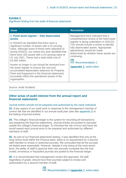# <span id="page-9-0"></span>**Exhibit 2**

Significant finding from the audit of financial statements

| <b>Issue</b>                                                                                                                                                                                                                                                                                                                                                                                                                                                                                                                                                                                                                                                            | <b>Resolution</b>                                                                                                                                                                                                                                                                                                                                    |
|-------------------------------------------------------------------------------------------------------------------------------------------------------------------------------------------------------------------------------------------------------------------------------------------------------------------------------------------------------------------------------------------------------------------------------------------------------------------------------------------------------------------------------------------------------------------------------------------------------------------------------------------------------------------------|------------------------------------------------------------------------------------------------------------------------------------------------------------------------------------------------------------------------------------------------------------------------------------------------------------------------------------------------------|
| 1. Fixed asset register - fully depreciated<br>assets<br>In 2019/20 we identified that there were a<br>significant number of assets with a nil carrying<br>value. Although some of these were disposed of<br>during 2020/21, our review this year identified that<br>there were 182 assets with a nil carrying value at<br>31 July 2021. These had a total initial cost of<br>£5.492 million.<br>Assets no longer in use should be removed from<br>the asset register to ensure the cost and<br>accumulated depreciation balances for Property,<br>Plant and Equipment in the financial statements<br>accurately reflect the operational assets of the<br>organisation. | Management have indicated that a<br>comprehensive review of the fixed asset<br>register is being undertaken in 2021/22.<br>This should include a review to identify<br>fully depreciated assets. Appropriate<br>adjustments should be made<br>determined by whether these assets are<br>continuing.<br>Recommendation 1<br>(appendix 1, action plan) |

Source: Audit Scotland

# **Other areas of audit interest from the annual report and financial statements**

### Journal entries should not be prepared and authorised by the same individual

**23.** A key aspect of our audit work in response to the management override of control risk that we identified in our annual audit plan (see also [appendix 2\)](#page-41-0) is the testing of journal entries.

**24.** The college's financial ledger is the system for recording all transactions and preparing the financial statements. Journal entries are posted to manually update the college's financial ledger. To minimise the risk of error and fraud we would expect each journal entry to be prepared and authorised by different members of staff.

**25.** As part of our financial statements testing, it was identified that only at the most senior level within the Finance team, there is no requirement for a second staff member to review or authorise journals. We concluded that all the journals we tested were reasonable. However, despite it only being at the most senior level, the ability of staff to approve their own journals increases the risk that invalid, erroneous or fraudulent journals are posted to the financial ledger.

<span id="page-9-1"></span>**26.** It is recommended that management review this approach. All staff, regardless of grade, should have their journals subject to review and authorisation by a second member of staff.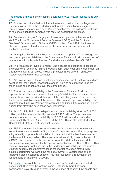The college's funded pension liability decreased to £14.552 million as at 31 July 2021

**27.** This section is included for information as we consider that the large yearon year movements in the funded and unfunded pension liabilities figures require explanation and comment. We are satisfied that the college's disclosure of its pension liabilities complies with required accounting practices.

**28.** Dundee and Angus College participates in two pension schemes for its staff: The Local Government Pension Scheme (LGPS) and the Scottish Teachers' Superannuation Scheme (STSS). Notes 16 and 17 to the financial statements provide the disclosures for these schemes in accordance with applicable guidance.

**29.** As required by Financial Reporting Standard 102 (FRS102) the college has recognised pension liabilities in the Statement of Financial Position in respect of its membership of Tayside Pension Fund which is a defined benefit LGPS.

**30.** The valuation of Tayside Pension Fund's assets and liabilities is assessed by professional actuaries (Barnett Waddingham) each year and is dependent on a range of external variables, including projected rates of return on assets, interest rates and mortality estimates.

**31.** We have reviewed the actuarial assumptions used for the valuation and are satisfied that they appear reasonable and in line with assumptions used by other public sector actuaries over the same period.

**32.** The funded pension liability in the Statement of Financial Position represents the difference between the college's liabilities (i.e., expected future payments to pensioners) and its share of the underlying value of the pension fund assets available to meet these costs. The unfunded pension liability in the Statement of Financial Position represents the additional future pension liability arising from staff who have taken early retirement.

**33.** As at 31 July 2021, the college's funded pension liability stood at £14.552 million, and the unfunded liability stood at £3.402 million. These balances compare to a funded pension liability of £22.509 million and an unfunded pension liability of £4.195 million at 31 July 2020. This is also reflected in the Consolidated Statement of Financial Position.

**34.** FRS102 requires liabilities to be valued using a discount rate assumption set with reference to yields on "high quality" corporate bonds. For this purpose, a high-quality corporate bond is taken to mean a bond that has been rated at the level of AA or equivalent. There was market instability towards the end of 2019/20 due to fears over the second wave of Covid-19 infections and the political uncertainty caused by the upcoming elections in the United States. This resulted in a significant increase in the funded pension liability in that year. For 2020/21 scheme asset performance in the market has been strong, with equities performing well amid the roll-out of Covid-19 vaccinations and an improving global economic outlook. This has resulted in a reduction in the funded pension liability for 2020/21.

**35.** [Exhibit 3](#page-11-0) sets out the movement in the college's funded and unfunded pension liabilities over the last five years. Historically there has been considerable volatility year-on-year in the valuation of pension fund assets and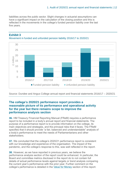liabilities across the public sector. Slight changes in actuarial assumptions can have a significant impact on the calculation of the closing position and this is reflected in the movements in the college's funded pension liability over the last five years.



#### <span id="page-11-0"></span>**Exhibit 3** Movement in funded and unfunded pension liability 2016/17 to 2020/21

Source: Dundee and Angus College annual report and financial statements 2016/17 – 2020/21

# **The college's 2020/21 performance report provides a reasonable picture of its performance and operational activity for the year but there remains scope to improve the performance analysis section**

**36.** HM Treasury Financial Reporting Manual (FReM) requires a performance report to be included in a body's annual report and financial statements. The purpose of a performance report is to provide information on the college, its main objectives and strategies, and the principal risks that it faces. The FReM specifies that it should provide "a fair, balanced and understandable" analysis of a body's performance to meet the needs of Parliamentarians and other stakeholders.

**37.** We concluded that the college's 2020/21 performance report is consistent with our knowledge and experience of the organisation. The impact of the pandemic, and the college's response to this, was well reflected in the report.

**38.** However, as we have reported in previous years, we believe the performance analysis section of the report could be enhanced. In particular, the Board and committee metrics disclosed in the report do to not contain full details of actual performance levels against targets or trend analysis comparing the current year's performance with the prior year. Further comment on the college's performance is detailed in the [Value for Money](#page-28-1) section of this report.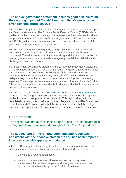# **The annual governance statement includes good disclosure on the ongoing impact of Covid-19 on the college's governance arrangements during 2020/21**

**39.** The FReM requires inclusion of a governance statement in an annual report and financial statements. The Scottish Public Finance Manual (SPFM) sets out guidance on the content and minimum requirements of the statement but does not prescribe a format. The college's annual governance statement complies with SPFM guidance and presents a good explanation and assessment of its governance arrangements for the year under review.

**40.** Public bodies have had to quickly change how they deliver services in response to the ongoing Covid-19 outbreak and the related restrictions introduced. The widespread use of virtual working and the rapid introduction of new programmes and services create a range of potential financial risks and challenges to internal controls.

<span id="page-12-0"></span>**41.** In its annual governance statement, the college has made good disclosure of the continued impact that Covid-19 has had on its governance arrangements and the steps it has taken in response to this. All Board and committee meetings continued to be held virtually during 2020/21, with updates on the college's response to the pandemic included as a standing item on meeting agendas. The college continues to maintain, and report to members, its Covid-19-specific risk register. This is used to help identify and mitigate any disruption caused by the pandemic.

**42.** Audit Scotland published its [Covid-19: Guide for audit and risk committees](https://www.audit-scotland.gov.uk/report/covid-19-guide-for-audit-and-risk-committees) in August 2020. The guide focused on the short-term challenges facing public bodies in the response phase of the pandemic. This report, along with the completed checklist, was considered by the college's Audit and Risk Committee in September 2020. We consider that this is further evidence that the college has taken appropriate steps to ensure good governance during the pandemic.

# **Good practice**

The college was proactive in taking steps to ensure good governance arrangements were maintained throughout the Covid-19 pandemic.

## **The audited part of the remuneration and staff report was consistent with the financial statements and has been prepared in accordance with applicable guidance**

**43.** The FReM requires the college to include a remuneration and staff report within its annual report and financial statements that includes details of:

- the college's remuneration policy,
- details of the remuneration of senior officers, including pension entitlements, for the financial year (and prior year comparator); and accrued pension benefits figures at 31 July of that year,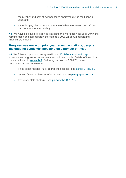- the number and cost of exit packages approved during the financial year, and
- a median pay disclosure and a range of other information on staff costs, numbers, and related activity.

**44.** We have no issues to report in relation to the information included within the remuneration and staff report in the college's 2020/21 annual report and financial statements.

### **Progress was made on prior year recommendations, despite the ongoing pandemic impacting on a number of these**

**45.** We followed up on actions agreed in our [2019/20 annual audit report,](https://www.audit-scotland.gov.uk/report/dundee-and-angus-college-annual-audit-201920) to assess what progress on implementation had been made. Details of the follow up are included in [appendix 1.](#page-36-0) Following our work in 2020/21, three recommendations remain open:

- Fixed asset register fully depreciated assets see [exhibit 2, issue 1](#page-9-0)
- revised financial plans to reflect Covid-19 see [paragraphs 70 -](#page-19-0) 75
- five-year estate strategy see [paragraphs 102 -](#page-24-0) 107.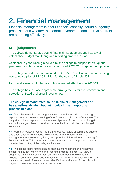# <span id="page-14-0"></span>**2. Financial management**

Financial management is about financial capacity, sound budgetary processes and whether the control environment and internal controls are operating effectively.

# **Main judgements**

The college demonstrates sound financial management and has a wellestablished budget monitoring and reporting process in place.

Additional in year funding received by the college to support it through the pandemic resulted in a significantly improved 2020/21 budget outturn position.

The college reported an operating deficit of £2.172 million and an underlying operating surplus of £2.168 million for the year to 31 July 2021.

High level systems of internal control operated effectively in 2020/21.

The college has in place appropriate arrangements for the prevention and detection of fraud and other irregularities.

# **The college demonstrates sound financial management and has a well-established budget monitoring and reporting process in place**

**46.** The college monitors its budget position through the budget monitoring reports presented to each meeting of the Finance and Property Committee. The budget monitoring reports provide an overall picture of spend against budget and include a good level of detail in the narrative to explain the main budget variances.

**47.** From our review of budget monitoring reports, review of committee papers and attendance at committees, we confirmed that members and senior management receive regular, timely and up-to-date information on the college's financial position. This allows both members and senior management to carry out effective scrutiny of the college's finances.

<span id="page-14-1"></span>**48.** The college demonstrates sound financial management and has a wellestablished budget monitoring and reporting process in place. Our view is supported by the work of internal audit who undertook a review into the college's budgetary control arrangements during 2020/21. This review provided a satisfactory level of assurance and identified several areas of strength, with only two lower-level recommendations reported.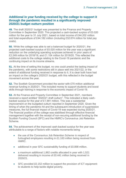# **Additional in year funding received by the college to support it through the pandemic resulted in a significantly improved 2020/21 budget outturn position**

**49.** The draft 2020/21 budget was presented to the Finance and Property Committee in September 2020. This projected a cash-backed surplus of £0.020 million for the year to 31 July 2021, based on total income of £44.202 million and total expenditure of £44.182 million (including £32.674 million for total pay costs).

**50.** While the college was able to set a balanced budget for 2020/21, the projected cash-backed surplus of £0.020 million for the year was a significant reduction on the underlying operating surpluses achieved in prior years of £2.249 million for 2018/19, and £1.104 million for 2019/20. This reflected the additional costs to the college relating to the Covid-19 pandemic and the continuing impact on its income streams.

**51.** At the time of setting this budget, no one could predict the lasting impact of the pandemic, with some restrictions still in place well into 2021/22, or the extent of additional funding received in response to it. It is clear both have had an impact on the college's 2020/21 budget, with this reflected in the budget movement across the year.

**52.** The Scottish Government provided the sector with £70 million additional revenue funding in 2020/21. This included money to support students and boost skills through training in response to the economic impact of Covid-19.

**53.** At the Finance and Property Committee in September 2021, members received a report entitled "2020/21 draft outturn". This indicated a likely cashbacked surplus for the year of £1.991 million. This was a substantial improvement on the budgeted outturn reported in September 2020. Given the timing of when the pandemic hit and the subsequent introduction of suppression measures, the full financial impact of Covid-19 was expected during 2020/21. The financial position of the college was stabilised through effective financial management together with the receipt of non-recuring additional funding by the Scottish Funding Council (SFC) and the HMRC's Coronavirus Job Retention Scheme.

<span id="page-15-0"></span>**54.** The achievement of the improved cash-backed surplus for the year was attributable to a range of factors with notable movements being:

- the use of the Coronavirus Job Retention Scheme in respect of furloughed employees resulting in £1.163 million being received from HMRC.
- additional in year SFC sustainability funding of £0.898 million.
- a maximum additional 1,862 credits allocated in year with 1,521 delivered resulting in income of £0.441 million being received in 2020/21.
- SFC provided £0.152 million to support the provision of ICT equipment to students to help tackle digital poverty.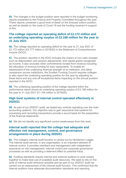**55.** The changes in the budget position were reported in the budget monitoring reports presented to the Finance and Property Committee throughout the year. These reports contained a good level of detail on the forecast outturn position, as well as details on the costs of Covid-19 and the funding received in support of this.

# **The college reported an operating deficit of £2.172 million and an underlying operating surplus of £2.168 million for the year to 31 July 2021**

**56.** The college reported an operating deficit for the year to 31 July 2021 of £2.172 million (£3.777 million in 2019/20) in the Statement of Comprehensive Income (SOCI).

**57.** The position reported in the SOCI includes the impact of non-cash charges such as depreciation and pension adjustments, and capital grants recognised as income. It also excludes other commitments funded from revenue including the allocation of revenue funding for loan repayments. To enable an assessment of the underlying financial strength of an institution, and allow comparison across institutions, the Scottish Funding Council requires colleges to also report the underlying operating position for the year by adjusting for these items and any one-off exceptional items impacting on the annual position reported in the SOCI.

**58.** The underlying operating position of the college reported within the performance report shows an underlying operating surplus of £2.168 million for the year to 31 July 2021 (£1.104 million in 2019/20).

# **High level systems of internal control operated effectively in 2020/21**

**59.** As part of our 2020/21 audit, we tested key controls operating over the main accounting systems. Our objective was to gain assurance that systems for processing and recording transactions provide a sound basis for the preparation of the financial statements.

**60.** We did not identify any significant control weaknesses from this work.

# **Internal audit reported that the college had adequate and effective risk management, control, and governance arrangements in place during 2020/21**

**61.** The college's internal audit function is carried out by Henderson Loggie. The internal audit service, in any organisation, is an important element of internal control. It provides members and management with independent assurance on risk management, internal control and corporate governance processes as well as providing a deterrent effect to potential fraud.

**62.** Auditing standards require internal and external auditors to work closely together to make best use of available audit resources. We seek to rely on the work of internal audit wherever possible and as part of our 2020/21 audit we carried out an assessment of the internal audit function. This confirmed that the internal auditors have adequate documentation standards and reporting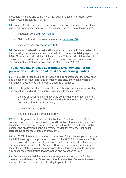procedures in place and comply with the requirements of the Public Sector Internal Audit Standards (PSIAS).

**63.** During 2020/21 we placed reliance on aspects of internal audit's work as part of our wider dimension work. This included the reviews of the college's:

- budgetary control [\(paragraph 48\)](#page-14-1)
- National Fraud Initiative arrangements [\(paragraph 68\)](#page-17-0)
- economic recovery [\(paragraph 86\)](#page-21-0).

**64.** We also considered internal audit's annual report as part of our review of the annual governance statement included within the accountability report in the 2020/21 annual report and financial statements. This provided internal audit's opinion that the college had adequate and effective arrangements for risk management, control, and governance in place during 2020/21.

# **The college has in place appropriate arrangements for the prevention and detection of fraud and other irregularities**

**65.** The Board is responsible for establishing arrangements for the prevention and detection of fraud, error and corruption and ensuring that its affairs are managed in accordance with proper standards of conduct.

**66.** The college has in place a range of established procedures for preventing and detecting fraud and irregularity. These include the college's:

- articles of governance and governance manual for members of the Board of Management (this includes details of the members' code of conduct and register of interests)
- gifts and hospitality policy
- fraud, bribery, and corruption policy.

**67.** The college also participates in the National Fraud Initiative (NFI), a counter-fraud exercise coordinated by Audit Scotland that uses computerised techniques to compare information about individuals held by different public bodies, and on different financial systems, to identify 'matches' that might suggest the existence of fraud or irregularity.

<span id="page-17-0"></span>**68.** In 2020/21 internal audit undertook a review of the college's participation in the NFI focussing on the process followed for the 2020/21 NFI exercise. This review provided a good level of assurance, including comment on the effective arrangements in place for the Audit and Risk Committee to be kept informed of the outcome of the data matching process. This allows members to consider any associated risks around the prevention and detection of fraud.

**69.** We have concluded that adequate arrangements are in place for the prevention and detection of fraud and other irregularities. We are not aware of any specific issues that we need to bring to your attention.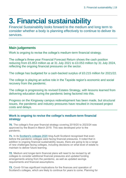# <span id="page-18-0"></span>**3. Financial sustainability**

Financial Sustainability looks forward to the medium and long term to consider whether a body is planning effectively to continue to deliver its services.

# **Main judgements**

Work is ongoing to revise the college's medium-term financial strategy.

The college's three-year Financial Forecast Return shows the cash position reducing from £5.853 million as at 31 July 2021 to £3.053 million by 31 July 2024, reflecting the ongoing financial pressures on the sector.

The college has budgeted for a cash-backed surplus of £0.215 million for 2021/22.

The college is playing an active role in the Tayside region's economic and social recovery from the pandemic.

The college is progressing its revised Estates Strategy, with lessons learned from delivering education during the pandemic being factored into this.

Progress on the Kingsway campus redevelopment has been made, but structural issues, the pandemic and industry pressures have resulted in increased project costs and delays.

# **Work is ongoing to revise the college's medium-term financial strategy**

**70.** The college's five-year financial strategy covering 2019/20 to 2023/24 was approved by the Board in March 2019. This was developed prior to the pandemic.

**71.** In its [Scotland's colleges 2020](https://www.audit-scotland.gov.uk/report/scotlands-colleges-2020) blog Audit Scotland recognised that even before the pandemic colleges were facing financial pressures. It noted that in addition to ongoing financial sustainability issues, there are going to be a range of new challenges facing colleges, including decisions on what level of estate to maintain to deliver future learning.

**72.** Medium and longer-term financial plans will need to be revised by all colleges to consider additional financial pressures and updated funding arrangements arising from the pandemic, as well as updated savings requirements and financial assumptions.

**73.** Covid-19 has significant implications for the finances and operation of Scotland's colleges, which are likely to continue for years to come. Planning for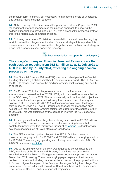the medium-term is difficult, but necessary, to manage the levels of uncertainty and volatility facing colleges' budgets.

**74.** At the meeting of the Finance and Property Committee in September 2021, management informed members on the planned approach to updating the college's financial strategy during 2021/22, with a proposal to present a draft of this to the March 2022 committee meeting.

<span id="page-19-0"></span>**75.** Following on from our 2019/20 recommendation, we welcome the ongoing work to revise the college's medium-term financial strategy. It is important this momentum is maintained to ensure the college has a robust financial strategy in place that supports its post pandemic recovery.

Recommendation 3 (**[appendix 1](#page-36-0)**, action plan)

# **The college's three-year Financial Forecast Return shows the cash position reducing from £5.853 million as at 31 July 2021 to £3.053 million by 31 July 2024, reflecting the ongoing financial pressures on the sector**

**76.** The Financial Forecast Return (FFR) is an established part of the Scottish Funding Council's (SFC) financial health monitoring framework. The FFR allows the SFC to monitor and assess the medium-term financial planning and health of colleges.

**77.** On 23 June 2021, the college were advised of the format and the assumptions to be used for the 2020/21 FFR, with the deadline for submission to the SFC being 31 July 2021. The returns usually include financial projections for the current academic year and following three years. This return request covered a shorter period (to 2021/22), reflecting uncertainty over the longerterm impact of Covid-19. The SFC issued a further call for information on 26 August 2021 for a medium-term financial forecast return for the period 2020/21 to 2023/24. This was submitted by the college in line with the 15 October 2021 deadline.

**78.** It is recognised that the college has a strong cash position (£5.853 million) at 31 July 2021. However, there were several non-recurring factors that contributed positively to this (discussed further at [paragraph 54\)](#page-15-0) together with savings made because of Covid-19 related lockdowns.

**79.** The FFR submitted by the college to the SFC in October showed a projected underlying deficit for 2021/22 and 2022/23 with an underlying surplus for 2023/24. The underlying operating and closing cash positions for 2021/22 to 2023/24 is shown in [exhibit 4.](#page-20-0)

**80.** Due to the timing of when the FFR was required to be submitted to the SFC, members of the Finance and Property Committee met prior to the submission and the Board of Management retrospectively approved this at the December 2021 meeting. The accompanying paper explained the format and content of the return, including the assumptions used and the proposed actions to further mitigate the impact of the financial challenges facing the college. The paper also provided additional context for Board members on the national and local impact of Covid-19 on future financial projections.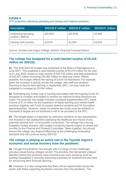# <span id="page-20-0"></span>**Exhibit 4**

FFR projected underlying operating and closing cash balance positions

| <b>Description</b>                          | 2021/22 $\mathbf{\hat{\epsilon}}$ million 2022/23 $\mathbf{\hat{\epsilon}}$ million |          | 2023/24 £' million |
|---------------------------------------------|-------------------------------------------------------------------------------------|----------|--------------------|
| Underlying operating<br>surplus / (deficit) | (E0.687)                                                                            | (E0.676) | £0.488             |
| Closing cash position                       | £3.978                                                                              | £2.934   | £3.053             |

Source: Dundee and Angus College 2020/21 Financial Forecast Return

### **The college has budgeted for a cash-backed surplus of £0.215 million for 2021/22**

**81.** The draft 2021/22 budget was presented to the Board of Management in June 2021. This projected a cash-backed surplus of £0.215 million for the year to 31 July 2022, based on total income of £43.742 million and total expenditure of £43.527 million (including £34.462 million for total pay costs). Where possible, the budget reflects the easing of Covid-19 restrictions. For example, given the increase in activity across the college, with staff and students returning to face-to-face learning in September 2021, non-pay costs are budgeted to increase by £0.654 million.

**82.** Estimating any further cost or funding associated with the ongoing Covid-19 disruption is complex and subject to revision as national funding decisions are made. For example, the budget includes increased supplementary SFC credit income of £1.9 million for the expansion of digital learning and mental health provision together with funds to support deferred students and for foundation apprenticeships. However, clarity on whether the funds could be withheld or recovered if targets are not achieved is still to be provided by the SFC.

**83.** The budget paper is supported by extensive narrative on key assumptions and included a risk assessment assessing the likelihood and impact of any potential adverse and / or favourable movements. The college has a strong budgetary review process, with budget monitoring reports subject to review and scrutiny by the Finance and Property Committee. Taken together, this should ensure the college can respond effectively to the challenging forecasting demands that will continue during 2021/22.

### **The college is playing an active role in the Tayside region's economic and social recovery from the pandemic**

**84.** Though the pandemic has brought with it a range of new challenges, previous issues facing colleges remain. The priorities that demanded colleges' attention before the pandemic have become even more pressing, such as tackling inequalities in learning, improving outcomes for students and the need for robust long-term financial planning.

**85.** However, it is also recognised that there will be opportunities across the sector with these supporting Scotland's recovery from the pandemic. The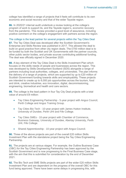college has identified a range of projects that it feels will contribute to its own economic and social recovery and that of the wider Tayside region.

<span id="page-21-0"></span>**86.** In 2020/21 internal audit undertook a review looking at the college's program of work to support its, and the Tayside region's, economic recovery from the pandemic. This review provided a good level of assurance, including positive comment on the college's engagement with partners across the region.

#### The college is the lead partner for several projects within the Tay Cities Deal

**87.** The Tay Cities Deal was developed after the Scottish Government's Enterprise and Skills Review was published in 2017. This allowed the deal to build on good practice from other city region deals. The £700 million deal is to be funded by both the Scottish and UK Governments with the partner councils, other public sector bodies, and private sources contributing additional funding. The deal was officially signed in December 2020.

**88.** A key element of the Tay Cities Deal is the Skills Investment Plan which focuses on the skills needs of people and businesses across the region. This was developed by Skills Development Scotland (SDS) alongside a range of partners including local authorities, colleges, and universities. The plan informs the delivery of a range of projects, which are supported by up to £20 million of Scottish Government funding towards skills and employability. These projects are intended to create up to 6,000 job opportunities across the tourism, food and drink, creative industries, eco innovation, digital, decommissioning, engineering, biomedical and health and care sectors.

**89.** The college is the lead pattern in four Tay City Deal projects with a total value of around £9 million:

- Tay Cities Engineering Partnership 5-year project with Angus Council, Perth College and Angus Training Group.
- Tay Cities Bio Tech 10-year project with James Hutton Institute, University of Dundee, Perth UHI and Fife College.
- Tay Cities SMEs 10-year project with Chamber of Commerce, Business Gateway, University of Dundee, Abertay University, Perth UHI, Fife College.
- Shared Apprenticeship 10-year project with Angus Council.

**90.** Three of the above projects are part of the overall £20 million Skills Investment Plan with the standalone project being the Tay Cities Engineering Partnership.

**91.** The projects are at various stages. For example, the Outline Business Case (OBC) for the Tay Cities Engineering Partnership has been approved by the Scottish Government and is now progressing to the Final Business Case stage, with the aim that this is submitted for consideration by the end of December 2021.

**92.** The Bio Tech and SME Skills projects are part of the wider £20 million Skills Investment Plan and are dependent on the progress of the overall OBC for this fund being approved. There have been some delays in progressing this, with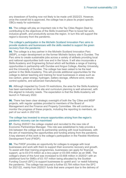any drawdown of funding now not likely to be made until 2022/23. However, once the overall bid is approved, the college has in place its project specific OBCs ready for submission.

**93.** The college will play an important role in the Tay Cities Region Deal by contributing to the objectives of the Skills Investment Plan to boost fair work, inclusive growth, and productivity across the region. In turn this will support the region's recovery from the pandemic.

#### The college's participation in the Michelin Scotland Innovation Parc aims to provide students and businesses with the skills needed to support the green recovery from the pandemic

**94.** The college is a key partner in the Michelin Scotland Innovation Parc (MSIP), a major development on the former Michelin factory site in Dundee. The Parc aims to create sustainable jobs across a variety of skillsets providing local and national opportunities both now and in the future. It will also incorporate a Skills Academy and Engineering School which will facilitate a range of training opportunities in partnership with Dundee and Angus College, Abertay University, and the University of Dundee. The college has been asked to be the lead partner in the Skills Academy. This will provide additional opportunities for the college to deliver teaching and training for local businesses in areas such as low carbon, green energy, hydrogen, battery storage, offshore wind, remote control systems, and advanced manufacturing.

**95.** Although impacted by Covid-19 restrictions, the area for the Skills Academy has been earmarked on the site and curriculum planning is well advanced, with this aligned to industry needs. The expectation is that the Skills Academy will launch in February 2022.

**96.** There has been clear strategic oversight of both the Tay Cities and MSIP projects, with regular updates provided to members of the Board of Management and the Finance and Property Committee. We will continue to monitor the progress of these projects, including the reporting to members, as part of our work in 2021/22.

#### The college has invested to ensure opportunities arising from the region's pandemic recovery can be maximised

**97.** During 2020/21 the college created and recruited to the new role of Economic Partnerships Manager. This role was established to help provide a link between the college and its partnership working with local businesses, with the aim of maximising the opportunities and funding arising from the pandemic. A key element of this work is the college's participation in the Flexible Workforce Development Fund (FWDF).

**98.** The FWDF provides an opportunity for colleges to engage with local businesses and work with them to support their economic recovery and growth. To assist with their training programmes, businesses can apply for financial support, up to £0.015 million as a levy payer or £0.005 million as an SME. The college's share of this fund was increased to £0.608 million in 2020/21 with an additional fund for SMEs of £0.157 million being allocated by the Scottish Funding Council (SFC) to support businesses to upskill and / or reskill following the pandemic. The college has secured a further £0.764 million from the SFC for 2021/22, mainly from 2020/21 funds that were unspent due to the delivery of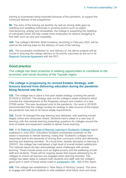training to businesses being impacted because of the pandemic, to support the continued delivery of the programme.

**99.** The aims of the training are twofold. As well as closing skills gaps by reskilling and upskilling individuals in growing sectors such as digital, manufacturing, energy and renewables, the college is supporting the reskilling of individuals which will help create more employees for sectors struggling to find staff, such as care and hospitality.

**100.** The college's Michelin Skills Academy, launching in February 2022, will be used as the training base for the delivery of most of the training.

**101.** The successful contribution to, and delivery of, the above projects will be crucial in ensuring the college delivers on its priority outcomes as set out in its [Regional Outcome Agreement](https://dundeeandangus.ac.uk/media/3292/da-roa-2020_21.pdf) with the SFC.

# **Good practice**

The college has been proactive in seeking opportunities to contribute to the economic and social recovery of the Tayside region.

# **The college is progressing its revised Estates Strategy, with lessons learned from delivering education during the pandemic being factored into this**

**102.** The college has in place a five-year estate strategy covering the period 2019/20 to 2023/24. The strategy sets out the college's estate ambitions which includes the redevelopment of the Kingsway campus and creation of a new STEM centre. This was developed prior to the pandemic. Our work in 2019/20 recommended that the college reviews its strategy to take account of the impact the pandemic has had on its future estate requirements.

**103.** [Covid-19 c](http://www.sfc.ac.uk/COVID-19/COVID-19.aspx)hanged the way learning was delivered, with teaching moved largely online and campuses closed. Students had to adapt to a new way of learning, with this remote learning presenting questions for colleges around the level of estate and equipment needed to deliver future learning.

**104.** In its [National Overview of Remote Learning in Scotland's Colleges](https://education.gov.scot/improvement/supporting-remote-learning/national-overview-colleges/) report published in June 2021, Education Scotland commented positively on the sector's response to remote learning, noting that "Scotland's colleges have responded well to the demands of moving their curriculum online and delivering learning and teaching remotely". At a local level, despite disruption to learning in 2020/21, the college has maintained a high level of overall student satisfaction. The national report did also acknowledge some challenges with remote learning. These include areas such as digital poverty and the wellbeing of both staff and students. These will be ongoing issues that require addressing by all colleges to ensure all learners are engaged when learning remotely. The college has taken steps to support both students and staff, with the college's good work in each of these areas noted in [paragraphs](#page-32-0) 148 - 162 of this report.

**105.** The college has established a "New Ways of Working" project. This aims to engage with staff and students to help establish what future work and study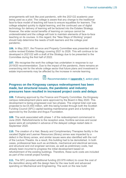arrangements will look like post pandemic, with the 2021/22 academic year being used as a pilot. The college is aware that any change to the traditional face-to-face model of teaching will have to ensure equalities for learners. The college adapted quickly to digital learning, and the continued use of digital technology for delivery of learning will be factored into the Estates Strategy. However, the wider social benefits of learning on campus cannot be underestimated and the college will look to maintain elements of face-to-face teaching on its courses. In this regard, the "New Ways of Working" project should help determine the needs of both learners and the college post pandemic.

**106.** In May 2021, the Finance and Property Committee was presented with an outline revised Estates Strategy covering 2021 to 2026. This will continue to be developed in 2021/22 with a draft of the Strategy due to be presented to the Committee during the first half of 2022.

<span id="page-24-0"></span>**107.** We recognise the work the college has undertaken in response to our 2019/20 recommendation. Due to the impact of the pandemic, there remains an overarching risk for the whole college sector that future plans and investment in estate improvements may be affected by the increase in remote learning.

Recommendation 4 (**[appendix 1](#page-36-0)**, action plan)

# **Progress on the Kingsway campus redevelopment has been made, but structural issues, the pandemic and industry pressures have resulted in increased project costs and delays**

**108.** Following approval by the Finance and Property Committee, the Kingsway campus redevelopment plans were approved by the Board in May 2020. This development is being progressed over two phases. The original total cost was projected to be £5.400 million, with this being funded through both the Scottish Funding Council (SFC) capital backlog maintenance grant and a funding bid approved by the Dundee and Angus Foundation.

**109.** The work associated with phase 1 of the redevelopment commenced in June 2020. Refurbishments to the reception area, frontline services and social space were all completed in advance of the delayed college restart date in September 2020.

**110.** The creation of a Hair, Beauty and Complimentary Therapies facility in the vacated Digital and Learner Resources (library) annex was impacted by a defect in the library annex, and similar issues were also identified with the roof of the Lecture Theatre. As a result, this building had to be demolished. In both cases, professional fees such as architects, mechanical and electrical services, and structural and civil engineer services, as well as preliminary costs, had already been incurred to progress the initial development based on refurbishment of the existing buildings. Therefore, these sunk costs are included as part of the overall project funding.

**111.** The SFC provided additional funding (£0.979 million) to cover the cost of the demolition along with the design fees for the new build and advanced spending on Mechanical and Engineering. The work on the new build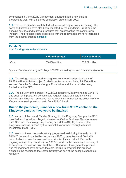commenced in June 2021. Management advised that the new build is progressing well, with a planned completion date of April 2022.

**112.** The demolition has contributed to the overall project costs increasing. The costs and timetable have also been impacted by the pandemic, Brexit and the ongoing haulage and material pressures that are impacting the construction industry. The projected costs associated with the redevelopment have increased from the original budget, [exhibit 5.](#page-25-0)

# <span id="page-25-0"></span>**Exhibit 5**

#### Cost for Kingsway redevelopment

|      | <b>Original budget</b> | <b>Revised budget</b> |
|------|------------------------|-----------------------|
| Cost | £5.400 million         | £8.229 million        |

Source: Dundee and Angus College 2020/21 annual report and financial statements

**113.** The college had secured funding to cover the revised project costs of £8.229 million, with the project funded from two sources, being £3.300 million secured from the Dundee and Angus Foundation and the remainder being funded from the SFC.

**114.** The delivery of the project in 2021/22, together with any ongoing Covid-19 and supplier impacts, will be subject to regular review and scrutiny by the Finance and Property Committee. We will continue to monitor the delivery of the Kingsway redevelopment as part of our 2021/22 audit.

### **Due to the pandemic, plans for a new build STEM centre on the Kingsway campus have yet to be finalised**

**115.** As part of the overall Estates Strategy for the Kingsway Campus the SFC provided funding to the college to develop an Outline Business Case for a new build Science, Technology, Engineering and Maths (STEM) centre on the Kingsway Campus, funded by the Scottish Government through a Mutual Investment Model (MIM).

**116.** Work on these proposals initially progressed well during the early part of 2019/20 but was impacted by the January 2020 cyber-attack and Covid-19, both of which required senior staff to reprioritise their workload. Due to the ongoing impact of the pandemic in 2020/21, work on the business case has yet to progress. The college have kept the SFC informed throughout the process, and management have advised they are looking to progress this proposal alongside the revision to the Estate Strategy as part of the college's pandemic recovery.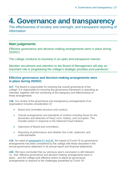# <span id="page-26-0"></span>**4. Governance and transparency**

The effectiveness of scrutiny and oversight, and transparent reporting of information

# **Main judgements**

Effective governance and decision-making arrangements were in place during 2020/21.

The college conducts its business in an open and transparent manner.

Member recruitment and retention to the Board of Management will play an important role in progressing the college's strategic priorities post-pandemic.

### **Effective governance and decision-making arrangements were in place during 2020/21**

**117.** The Board is responsible for ensuring the overall governance of the college. It is responsible for ensuring the governance framework is operating as intended, together with the monitoring of the adequacy and effectiveness of these arrangements.

**118.** Our review of the governance and transparency arrangements of an organisation includes consideration of:

- Board and committee structure and conduct.
- Overall arrangements and standards of conduct including those for the prevention and detection of fraud, error, bribery, and corruption. This includes action in response to the National Fraud Initiative.
- Openness of Board and committees.
- Reporting of performance and whether this is fair, balanced, and understandable.

**119.** As noted at [paragraphs 41 and 42,](#page-12-0) the impact of Covid-19 on governance arrangements has been considered by the college with these disclosed in the annual governance statement in its annual report and financial statements.

**120.** We have concluded that our previous year's conclusion is still relevant, i.e., that "effective governance and decision-making arrangements were in place…and the college took effective action to adjust its governance arrangements to respond to the challenges presented by Covid-19".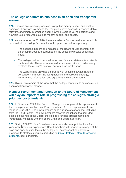# **The college conducts its business in an open and transparent manner**

**121.** There is an increasing focus on how public money is used and what is achieved. Transparency means that the public have access to understandable, relevant, and timely information about how the Board is taking decisions and how it is using resources such as money, people, and assets.

**122.** As we reported in 2019/20, there is evidence from several sources which demonstrate the college's commitment to openness and transparency:

- The agendas, papers and minutes of the Board of Management and other committees are published on the college's website on a timely basis.
- The college makes its annual report and financial statements available on its website. These include a performance report which adequately explains the college's financial performance for the year.
- The website also provides the public with access to a wide range of corporate information including details of the college's strategy, performance information, and equality and diversity reporting.

**123.** Overall, we remain of the view that the college conducts its business in an open and transparent manner.

# **Member recruitment and retention to the Board of Management will play an important role in progressing the college's strategic priorities post-pandemic**

**124.** In December 2020, the Board of Management approved the appointment for a four-year term of two new Board members. A further appointment was made in June 2021. The new members bring a range of experience, including from the Third Sector. The new members received inductions that included details on the role of the Board, the college's funding arrangements and introductory meetings with the Board Chair and Board Secretary.

**125.** During 2020/21, four Board members were also reappointed for a fouryear term. Retaining experienced Board members with recent knowledge of the risks and opportunities facing the college will be important as it looks to progress its strategic priorities, including its 2025 Strategy – [More Successful](https://dundeeandangus.ac.uk/media/3298/2025-strategy.pdf)  [Students](https://dundeeandangus.ac.uk/media/3298/2025-strategy.pdf)*,* post-pandemic.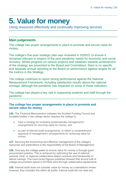# <span id="page-28-1"></span><span id="page-28-0"></span>**5. Value for money**

Using resources effectively and continually improving services

# **Main judgements**

The college has proper arrangements in place to promote and secure value for money.

The college's five-year strategic plan was reviewed in 2020/21 to ensure it remained relevant in respect of the post pandemic needs for economic and social recovery. Whilst progress on various projects and initiatives towards achievement of the strategy are presented to the Board and Committees, there is no specific and separate annual reporting to the Board on performance against targets for all the metrics in the Strategy.

The college continues to report strong performance against the National Measurement Framework, including satisfaction results above the national average, although the pandemic has impacted on some of these indicators.

The college has played a key role in supporting students and staff through the pandemic.

### **The college has proper arrangements in place to promote and secure value for money**

**126.** The Financial Memorandum between the Scottish Funding Council and fundable bodies in the college sector requires the college to:

- have a strategy for reviewing systematically management's arrangements for securing value for money, and
- as part of internal audit arrangements, to obtain a comprehensive appraisal of management's arrangements for achieving value for money.

**127.** Securing the economical and effective management of the college's resources and expenditure is the responsibility of the Board of Management.

**128.** One way the college seeks to ensure value for money is through good procurement practice. This is achieved by optimising the use of national, sectoral, local, or regional collaborative-based contracts and frameworks to deliver savings. The most recent figures published showed that around half of college procurement spend in 2019/20 went through collaborative agreements.

**129.** Internal audit does not consider value for money as a standalone review; however, they consider this within all audits. Internal audit did not raise any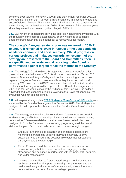concerns over value for money in 2020/21 and their annual report for 2020/21 provided their opinion that '…proper arrangements are in place to promote and secure Value for Money'. This opinion was arrived at taking into consideration the work they had undertaken during 2020/21 and in each of the previous years since they were first appointed by the college in 2013/14.

**130.** Our review of expenditure during the audit did not highlight any issues with the regularity of the college's expenditure, or any instances of business decisions being taken that did not appear to reflect value for money.

**The college's five-year strategic plan was reviewed in 2020/21 to ensure it remained relevant in respect of the post pandemic needs for economic and social recovery. Whilst progress on various projects and initiatives towards achievement of the strategy are presented to the Board and Committees, there is no specific and separate annual reporting to the Board on performance against targets for all the metrics in the Strategy.** 

**131.** The college's Good to Great Strategy was a two-year transformation project that concluded in early 2020. Its aim was to ensure that: "From 2020 onwards, Dundee and Angus College will be the outstanding model of how regional colleges in Scotland operate and how they impact on their local economy." We noted in our 2019/20 annual audit report that an independent evaluation of this project would be reported to the Board of Management in 2021, and that we would consider the findings of this. However, the college advised that due to changing priorities relating to the Covid-19 pandemic, the evaluation was not commissioned.

**132.** A five-year strategic plan, 2025 Strategy – [More Successful Students](https://dundeeandangus.ac.uk/media/3298/2025-strategy.pdf) was approved by the Board of Management in December 2019. The strategy was designed to build upon rather than replace the Good to Great transformation plan.

**133.** The strategy sets out the college's vision to: "create more successful students through effective partnerships that change lives and create thriving communities." Seventeen detailed metrics have been created which are designed to form the framework for assessing progress against the overall vision of the plan. Each metric falls under one of three strategic pledges:

- Effective Partnerships: to establish and enhance deeper, more meaningful partnerships both internally and externally to drive sustainability and ensure the best possible outcomes for students, employers, and the wider region
- Future Focussed: to deliver curriculum and services in new and innovative ways that drive success and are engaging, flexible, streamlined and designed in partnership with learners, staff, partners, and wider stakeholders
- Thriving Communities: to foster trusted, supportive, inclusive, and resilient communities that puts partnerships, engagement and the health, wellbeing and success of students, staff, stakeholders, and communities at the core of how the college operates.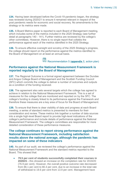**134.** Having been developed before the Covid-19 pandemic began, the strategy was reviewed during 2020/21 to ensure it remained relevant in respect of the post pandemic needs for economic and social recovery. No amendments to the strategy or its metrics were made.

**135.** A Board Metrics paper is reported to each Board of Management meeting, which includes some of the metrics included in the 2025 Strategy (see further detail at paragraphs 140 - 141). Further metrics are reviewed by the college's other committees. However, there is no single report that collates the performance against each of the metrics identified in the 2025 Strategy.

<span id="page-30-0"></span>**136.** To ensure effective oversight and scrutiny of the 2025 Strategy's progress, the college should report on the performance against the metrics identified to the Board of Management on at least an annual basis.

Recommendation 5 (**[appendix 1](#page-36-0)**, action plan)

### **Performance against the National Measurement Framework is reported regularly to the Board of Management**

**137.** The Regional Outcome is a formal signed agreement between the Dundee and Angus College Board of Management and the Scottish Funding Council (SFC) which commits the college to deliver a number of outcomes and outputs as a condition of the funding received.

**138.** The agreement also sets several targets which the college has agreed to achieve in relation to the National Measurement Framework. This is a set of measures for the college that are monitored and reported on by the SFC. The college's funding is closely linked to its performance against the Framework and therefore these measures are a key area of focus for the Board of Management.

**139.** To ensure that there is clear visibility of data and progress at each Board meeting, a series of standard metrics is presented to members for their consideration and review. These metrics link together a number of data sources into a single high-level Board report to provide high-level indications of the college's performance and include details of performance against the National Measurement Framework. The college's committees are responsible for more detailed consideration of these performance measures.

### **The college continues to report strong performance against the National Measurement Framework, including satisfaction results above the national average, although the pandemic has impacted on some of these indicators**

**140.** As part of our audit, we reviewed the college's performance against the National Measurement Framework and the standard metrics reported to the Board. This showed that:

• **79.5 per cent of students successfully completed their courses in 2020/21 -** this showed an increase on the completion rate for 2019/20 (76.9 per cent). However, the overall positive outcome rate decreased from 86.1 per cent to 80.4 per cent, due to an increase in the total rate of withdrawal to 19.6 per cent from 13.9 per cent. Management have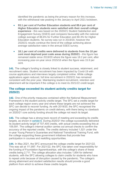identified the pandemic as being the primary reason for this increase, with the withdrawal rate peaking in the January to April 2021 lockdown.

- **93.1 per cent of Further Education students and 89.4 per cent of Higher Education students were satisfied with their overall college experience** - this was based on the 2020/21 Student Satisfaction and Engagement Survey (SSES) and compares favourably with the national college average of 88.6% for Further Education and 80.3% for Higher Education students. No survey was run in 2019/20, however the 2020/21 results continue the trend of the college achieving above average satisfaction rates in the annual SSES survey.
- **18.1 per cent of credits were delivered to students from the 10 per cent most deprived post code areas during 2020/21 -** this figure has remained stable since 2019/20 where the figure was 18.2 per cent, after increasing year-on-year since 2015/16 when the figure was 15.9 per cent.

**141.** The college's funding is closely linked to student success, retainment, and recruitment rates. Student recruitment has been impacted by Covid-19 with course applications and interviews largely completed online. While college applications again reduced, full time recruitment in 2020/21 has remained consistent with the prior year. Maintaining student recruitment, retention and attainment will be important if the college is to meet its 2021/22 credit target.

### **The college exceeded its student activity credits target for 2020/21**

**142.** One of the priority measures contained within the National Measurement Framework is the student activity credits target. The SFC set a credits target for each college region every year and where these targets are not achieved the SFC can decide to recover funding. As with 2019/20, the SFC recognised the ongoing impact of the pandemic on credit delivery, with there being no clawback on 2020/21 core activity funding should the college not reach its target.

**143.** The college has a strong track record of meeting and exceeding its credits targets, as shown in [exhibit 6.](#page-32-1) During 2020/21 the college successfully delivered its student activity target of 107,405 credits, with actual credits exceeding this at 109,591. The college's internal auditor carries out annual checks to confirm the accuracy of the reported credits. The credits delivery included 1,521 under the in-year Young Person's Guarantee and National Transitional Training Fund, with the college supporting these government initiatives that provide free participation in courses and reskilling opportunities.

**144.** In May 2021, the SFC announced the college credits target for 2021/22. This was set at 111,897. For 2021/22, the SFC has taken over responsibility for the funding of Foundation Apprenticeships, with the college's share of these credits being 2,711. The college allocation also includes 1,854 for deferred students, with the SFC allowing colleges to claim credits for students who have to repeat units because of disruption caused by the pandemic. The college's strong attainment and student satisfaction results should provide a good platform from which to achieve these credits targets.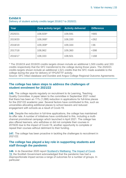# <span id="page-32-1"></span>**Exhibit 6**

| Year    | <b>Core activity target</b> | <b>Activity delivered</b> | <b>Difference</b> |
|---------|-----------------------------|---------------------------|-------------------|
| 2020/21 | 108,926*                    | 109,591                   | $+665$            |
| 2019/20 | 108,068*                    | 108,330                   | $+262$            |
| 2018/19 | 109,308*                    | 109,344                   | $+36$             |
| 2017/18 | 108,962                     | 109,360                   | +398              |
| 2016/17 | 108,333                     | 108,501                   | $+168$            |

Delivery of student activity credits target 2016/17 to 2020/21

\* The 2018/19 and 2019/20 credits targets shown include an additional 1,500 credits and 333 credits respectively that the SFC transferred to the college during those years. The 2020/21 credits targets shown include an additional 1,521 credits that the SFC made available to the college during the year for delivery of YPG/NTTF activity.

Source: SFC Infact database and Dundee and Angus College Regional Outcome Agreements

# **The college has taken steps to address the challenges of student enrolment for 2021/22**

**145.** The college reports regularly on recruitment to its Learning, Teaching Quality Committee. A paper taken to the committee in September 2021 noted that there has been an 11% (1,088) reduction in applications for full-time places for the 2021/22 academic year. Several factors have contributed to this, such as universities allocating additional places to school leavers and reduced engagement with schools as a result of Covid-19.

**146.** Despite the reduction in full-time applications, the college has maintained its offer rate. A number of initiatives have contributed to this, including a multichannel promotional campaign which launched in April 2021. The college has also offered learners, who withdrew or did not complete their courses in 2019/20 due to the impact of Covid-19, another opportunity to complete or repeat their courses without detriment to their funding.

**147.** The college has been proactive in tackling the challenges to recruitment in 2021/22.

# **The college has played a key role in supporting students and staff through the pandemic**

<span id="page-32-0"></span>**148.** In its December 2020 report [Scotland's Wellbeing: The Impact of Covid-](https://nationalperformance.gov.scot/sites/default/files/documents/NPF_Impact_of_COVID-19_December_2020.pdf)[19,](https://nationalperformance.gov.scot/sites/default/files/documents/NPF_Impact_of_COVID-19_December_2020.pdf) the Scottish Government acknowledged that the pandemic has had a disproportionate impact across a range of outcomes for a number of groups. In particular: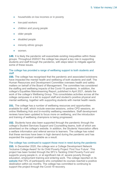- households on low incomes or in poverty
- low-paid workers
- children and young people
- older people
- disabled people
- minority ethnic groups
- women.

**149.** It is likely the pandemic will exacerbate existing inequalities within these groups. Throughout 2020/21 the college has played a key role in supporting students and staff through the pandemic, with steps taken to mitigate against some of these issues.

#### The college has provided a range of wellbeing support to both students and staff

**150.** The college has recognised that the pandemic and associated lockdowns have impacted the mental health and wellbeing of both students and staff. The Human Resources and Development Committee oversees health and safety matters on behalf of the Board of Management. The committee has considered the staffing and wellbeing impacts of the Covid-19 pandemic. In addition, the college's Equalities Mainstreaming Report, published in April 2021, details the work of the college's Wellbeing Group. This consolidates activities across all the college campuses in a bid to support staff and student's positive physical and mental wellbeing, together with supporting students with mental health needs.

**151.** The college has a number of wellbeing resources and opportunities available for staff, which include exercise sessions, online CPD sessions, an online Wellbeing Hub and bi-monthly wellbeing newsletters. Staff development reviews have been updated to focus more on wellbeing, and the introduction and training of wellbeing champions is being progressed.

**152.** Students have also been supported through the pandemic through the college's Student Services Support and Counselling teams, both of which are advertised on the college's website. In addition, the Students' Association offers a welfare information and referral service to learners. The college has noted that these services have been in high demand during the pandemic and has expanded the support available as a result.

#### The college has continued to support those most in need during the pandemic

**153.** In December 2020, the college won a College Development Network 'Inclusive College Award' for its Child Poverty Project 'Find Your Future'. This project has been funded through the SFC's Tackling Child Poverty Fund and supports young people in, or at significant risk of, severe poverty through education, employment training and entering work. The college reported on its [website](https://dundeeandangus.ac.uk/news-events/college-reaches-out-to-local-community/) that 75% of participants who completed its courses reached a positive destination within six months. The college has committed to continuing to support the project through the Covid-19 recovery.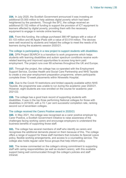**154.** In July 2020, the Scottish Government announced it was investing an additional £5.000 million to help address digital poverty which had been heightened by the pandemic. Through the SFC, the college received an additional £0.152 million of funding to support the provision of ICT equipment to learners affected by digital poverty, providing them with the necessary equipment to engage in remote online learning.

**155.** From this funding, the college purchased 366 HP laptops with a value of £0.133 million and 46 Apple iPads with a value of £0.019 million. The devices were well received by students and helped the college to meet the needs of its learners during the academic session 2020/21.

#### The college is participating in a new project to support students with disabilities

**156.** DFN Project SEARCH is a transition to work programme which helps students with learning disabilities and autism spectrum conditions receive workrelated learning and improved opportunities to access long-term paid employment. The project runs over 69 schemes throughout the UK and Europe.

**157.** Through the project, the college has co-operated with the Employment Support Service, Dundee Health and Social Care Partnership and NHS Tayside to create a one-year employment preparation programme, where participants complete three 10-week placements within Ninewells Hospital.

**158.** Due to the Covid-19 restrictions and limited capacity available within NHS Tayside, the programme was unable to run during the academic year 2020/21. However, eight students are now enrolled on the course for academic year 2021/22.

**159.** The college has a good track record of supporting students with disabilities. It was in the top three performing National colleges for those with disabilities in 2019/20, with a 72.1 per cent successful completion rate, ranking second out of seventeen colleges.

#### The college received the Carers Positive award in 2020/21

**160.** In May 2021, the college was recognised as a carer positive employer by Carer Positive, a Scottish Government initiative to raise awareness of the challenges facing working carers and encourage employers to understand the business benefits of supporting those staff.

**161.** The college has several members of staff who identify as carers and recognises the additional demands placed on them because of this. The college offers a range of support for these staff members that includes its Special Leave policy, flexible working arrangements, and access to a counselling service. The college also holds regular carer focus groups that help inform policy.

**162.** The review commented on the college's strong commitment to supporting staff with caring responsibilities (as well as student carers), with this available support being well communicated through the college's policies and staff intranet.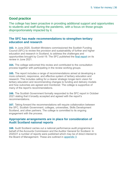# **Good practice**

The college has been proactive in providing additional support and opportunities to students and staff during the pandemic, with a focus on those groups disproportionately impacted by it.

### **The SFC has made recommendations to strengthen tertiary education and research**

**163.** In June 2020, Scottish Ministers commissioned the Scottish Funding Council (SFC) to review the provision and sustainability of further and higher education and research in Scotland, to address the challenges and opportunities brought by Covid-19. The SFC published the [final report](http://www.sfc.ac.uk/web/FILES/Review/coherence-and-sustainability.pdf) on its review in June 2021.

**164.** The college welcomed this review and contributed to the consultation process together with participating in the review working groups.

**165.** The report includes a range of recommendations aimed at developing a more coherent, responsive, and effective system of tertiary education and research. This includes calling for a clearer strategic longer-term vision for tertiary education and recommending changes to funding and delivery models and how outcomes are agreed and monitored. The college is supportive of many of the report's recommendations.

**166.** The Scottish Government formally responded to the SFC report in October 2021 stating that it broadly accepted and agreed with the report's recommendations.

**167.** Taking forward the recommendations will require collaboration between the SFC, Scottish Government, colleges, universities, Skills Development Scotland, and other partners. The college is committed to its ongoing engagement with the process.

# **Appropriate arrangements are in place for consideration of Audit Scotland national reports**

**168.** Audit Scotland carries out a national performance audit programme on behalf of the Accounts Commission and the Auditor General for Scotland. In 2020/21 a number of reports were published which may be of direct interest to the Board of Management. These are outlined in [appendix 3.](#page-47-0)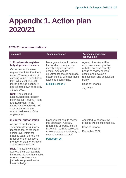# <span id="page-36-0"></span>**Appendix 1. Action plan 2020/21**

# **2020/21 recommendations**

| <b>Issue/risk</b>                                                                                                                                                                                                                                                                             | <b>Recommendation</b>                                                                                                                                                                                                     | <b>Agreed management</b><br>action/timing                                                                                                                                                                                      |
|-----------------------------------------------------------------------------------------------------------------------------------------------------------------------------------------------------------------------------------------------------------------------------------------------|---------------------------------------------------------------------------------------------------------------------------------------------------------------------------------------------------------------------------|--------------------------------------------------------------------------------------------------------------------------------------------------------------------------------------------------------------------------------|
| 1. Fixed assets register-<br>fully depreciated assets<br>Our review of the asset<br>register identified that there<br>were 182 assets with a nil<br>carrying value. These had a<br>total initial cost of £5.492<br>million and had been fully<br>depreciated down to zero by<br>31 July 2021. | Management should review<br>the fixed asset register to<br>identify fully depreciated<br>assets. Appropriate<br>adjustments should be made<br>determined by whether these<br>assets are continuing.<br>Exhibit 2, issue 1 | Agreed. A review will be<br>undertaken in conjunction<br>with the exercise recently<br>begun to review college<br>assets and develop a<br>replacement and acquisition<br>policy.<br><b>Head of Finance</b><br><b>July 2022</b> |
| <b>Risk:</b> The cost and<br>accumulated depreciation<br>balances for Property, Plant<br>and Equipment in the<br>financial statements do not<br>accurately reflect the<br>operational assets of the<br>organisation.                                                                          |                                                                                                                                                                                                                           |                                                                                                                                                                                                                                |

#### **2. Journal authorisation**

As part of our financial statements testing, it was identified that at the most senior level within the Finance team, there is no requirement for a second member of staff to review or authorise the journals.

**Risk:** The ability of staff to approve their own journals increases the risk that invalid, erroneous or fraudulent journals are posted to the financial ledger.

Management should review this approach. All staff, regardless of grade, should have their journals subject to review and authorisation by a second member of staff,

[Paragraph 26](#page-9-1)

Accepted. A peer review process will be implemented.

Head of Finance

December 2022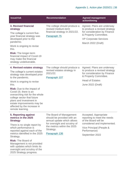# Appendix 1. Action plan 2020/21 | 38

| <b>Issue/risk</b>                                                                                                                                                                                                                                                                                                                                                                                | <b>Recommendation</b>                                                                                                                                                             | <b>Agreed management</b><br>action/timing                                                                                                                                  |
|--------------------------------------------------------------------------------------------------------------------------------------------------------------------------------------------------------------------------------------------------------------------------------------------------------------------------------------------------------------------------------------------------|-----------------------------------------------------------------------------------------------------------------------------------------------------------------------------------|----------------------------------------------------------------------------------------------------------------------------------------------------------------------------|
| 3. Revised financial<br>strategy<br>The college's current five-<br>year financial strategy was<br>developed prior to the<br>pandemic.<br>Work is ongoing to revise<br>this.<br><b>Risk:</b> The longer-term<br>financial impact of Covid-19<br>may make the financial<br>strategy undeliverable.                                                                                                 | The college should produce a<br>revised medium-term<br>financial strategy in 2021/22.<br>Paragraph 75                                                                             | Agreed. Plans are underway<br>to produce a revised strategy<br>for consideration by Finance<br>& Property Committee.<br><b>VP Corporate Services</b><br>March 2022 (Draft) |
| 4. Revised estates strategy<br>The college's current estates<br>strategy was developed prior<br>to the pandemic.<br>Work is ongoing to revise<br>this.<br><b>Risk:</b> Due to the impact of<br>Covid-19, there is an<br>overarching risk for the whole<br>college sector that future<br>plans and investment in<br>estate improvements may be<br>affected by the increase in<br>remote learning. | The college should produce a<br>revised estates strategy in<br>2021/22.<br>Paragraph 107                                                                                          | Agreed. Plans are underway<br>to produce a revised strategy<br>for consideration by Finance<br>& Property Committee.<br><b>Head of Estates</b><br>June 2022 (Draft)        |
| 5. Reporting against<br>metrics in the 2025<br><b>Strategy</b><br>There is no single report by<br>which performance is<br>reported against each of the<br>metrics identified in the 2025<br>Strategy.<br><b>Risk:</b> The Board of<br>Management is not provided<br>with updates which limits its<br>oversight and scrutiny of the<br>2025 Strategy progress.                                    | The Board of Management<br>should be provided with an<br>annual update which allows<br>for oversight and scrutiny of<br>the metrics within the 2025<br>Strategy.<br>Paragraph 136 | Accepted. Appropriate<br>reporting to meet the needs<br>of the Board will be<br>considered and implemented.<br>Vice Principal (People &<br>Performance)<br>September 2022  |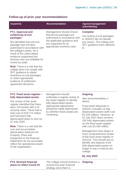# **Follow-up of prior year recommendations**

| <b>Issue/risk</b>                                                                                                                                                                                                                                                                               | <b>Recommendation</b>                                                                                                                                                                                                   | <b>Agreed management</b><br>action/timing                                                                                                                                                                                                                               |
|-------------------------------------------------------------------------------------------------------------------------------------------------------------------------------------------------------------------------------------------------------------------------------------------------|-------------------------------------------------------------------------------------------------------------------------------------------------------------------------------------------------------------------------|-------------------------------------------------------------------------------------------------------------------------------------------------------------------------------------------------------------------------------------------------------------------------|
| PY1. Approval and<br>evidencing of exit<br>packages<br>We identified that one exit<br>package had not been<br>authorised in accordance with<br>the college's policy. As a<br>result of the cyber-attack<br>evidence supporting this<br>decision was not available for                           | Management should ensure<br>that all exit packages are<br>authorised in accordance with<br>the applicable guidance and<br>are supported by an<br>appropriate business case.                                             | <b>Complete</b><br>Our testing of exit packages<br>in 2020/21 did not identify<br>any issues. The college and<br>SFC guidance were adhered<br>to.                                                                                                                       |
| review by audit.<br><b>Risk:</b> There is a risk that the<br>college does not comply with<br>SFC guidance to obtain<br>clearance on exit packages<br>or retain appropriate<br>evidence of settlement<br>agreement decisions.                                                                    |                                                                                                                                                                                                                         |                                                                                                                                                                                                                                                                         |
| <b>PY2. Fixed asset register -</b><br>fully depreciated assets<br>Our review of the asset<br>register identified that there<br>were 153 assets with a nil<br>carrying value. These had a<br>total cost of £29.774 million<br>and had been fully<br>depreciated down to zero by<br>31 July 2020. | Management should<br>undertake a regular review of<br>the asset register to identify<br>fully depreciated assets.<br>Appropriate adjustments<br>should be made determined<br>by whether these assets are<br>continuing. | <b>Ongoing</b><br>See recommendation 1<br>above.<br>Fixed asset disposals in<br>2020/21 included 14 fully<br>depreciated assets (with cost<br>£0.234 million). However, at<br>31 July 2021 there remains<br>182 fully depreciated assets<br>on the fixed asset register |
| Risk: There is a risk that the<br>cost and accumulated<br>depreciation balances for<br>Property, Plant and<br>Equipment in the financial                                                                                                                                                        |                                                                                                                                                                                                                         | with cost £5.492 million.<br>Management have begun a<br>more comprehensive review<br>of the fixed asset register in                                                                                                                                                     |

of the fixed asset register in 2021/22. This should aim to identify and dispose of all fully depreciated assets no longer in use or held by the college.

#### **By July 2022**

**PY3. Revised financial plans to reflect Covid-19**

statements do not accurately reflect the operational assets

of the organisation.

The college should produce a revised five-year financial strategy once there is **Ongoing**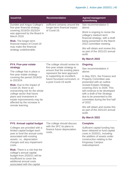| <b>Issue/risk</b>                                                                                                                                                                                                  | <b>Recommendation</b>                                                                         | <b>Agreed management</b><br>action/timing                                                                                                                                                                  |
|--------------------------------------------------------------------------------------------------------------------------------------------------------------------------------------------------------------------|-----------------------------------------------------------------------------------------------|------------------------------------------------------------------------------------------------------------------------------------------------------------------------------------------------------------|
| Dundee and Angus College's<br>five-year financial strategy                                                                                                                                                         | sufficient certainty around the<br>longer-term financial impact<br>of Covid-19.               | See recommendation 3<br>above.                                                                                                                                                                             |
| covering 2019/20-2023/24<br>was approved by the Board in<br>March 2019.<br><b>Risk:</b> The longer-term                                                                                                            |                                                                                               | Work is ongoing to revise the<br>college's medium-term<br>financial strategy, with a draft<br>being presented to the March                                                                                 |
| financial impact of Covid-19<br>may make the financial                                                                                                                                                             |                                                                                               | 2022 committee meeting.                                                                                                                                                                                    |
| strategy undeliverable.                                                                                                                                                                                            |                                                                                               | We will obtain and review this<br>as part of the 2021/22 annual<br>audit.                                                                                                                                  |
|                                                                                                                                                                                                                    |                                                                                               | <b>By March 2022</b>                                                                                                                                                                                       |
| <b>PY4. Five-year estate</b>                                                                                                                                                                                       | The college should review its                                                                 | <b>Ongoing</b>                                                                                                                                                                                             |
| strategy<br>The college has in place a                                                                                                                                                                             | five-year estate strategy to<br>ensure that the existing plans<br>represent the best approach | See recommendation 4<br>above.                                                                                                                                                                             |
| five-year estate strategy<br>covering the period 2019/20<br>to 2023/24.                                                                                                                                            | to supporting an excellent,<br>future focussed curriculum, in<br>a post Covid-19 world.       | In May 2021, the Finance and<br><b>Property Committee was</b><br>presented with an outline                                                                                                                 |
| <b>Risk:</b> Due to the impact of<br>Covid-19, there is an<br>overarching risk for the whole<br>college sector that future<br>plans and investment in<br>estate improvements may be<br>affected by the increase in |                                                                                               | revised Estates Strategy<br>covering 2021 to 2026. This<br>will continue to be developed<br>with a draft of the Strategy<br>due to be presented to the<br>committee during the first half<br>of 2022.      |
| remote learning.                                                                                                                                                                                                   |                                                                                               | We will obtain and review this<br>as part of the 2021/22 annual<br>audit.                                                                                                                                  |
|                                                                                                                                                                                                                    |                                                                                               | By March 2022                                                                                                                                                                                              |
| <b>PY5. Annual capital budget</b>                                                                                                                                                                                  | The college should discuss                                                                    | <b>Complete</b>                                                                                                                                                                                            |
| Colleges are provided with a<br>limited capital budget each<br>year to fund the annual costs<br>associated with existing<br>assets, i.e., depreciation<br>charges and any impairment<br>costs.                     | with the SFC its plans to<br>finance future depreciation<br>costs.                            | Sufficient capital funding has<br>been obtained to fund capital<br>costs in 2020/21, including<br>the addition of assets under<br>construction relating to the<br><b>Kingsway Campus</b><br>redevelopment. |
| <b>Risk:</b> There is a risk that the<br>college's annual capital<br>budget from 2020/21 will be<br>insufficient to cover the<br>additional annual costs<br>associated with the capital                            |                                                                                               |                                                                                                                                                                                                            |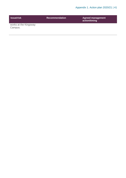| <b>Issue/risk</b>                | <b>Recommendation</b> | <b>Agreed management</b><br>action/timing |
|----------------------------------|-----------------------|-------------------------------------------|
| works at the Kingsway<br>Campus. |                       |                                           |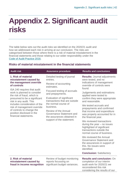# <span id="page-41-0"></span>**Appendix 2. Significant audit risks**

The table below sets out the audit risks we identified on the 2020/21 audit and how we addressed each risk in arriving at our conclusion. The risks are categorised between those where there is a risk of material misstatement in the financial statements and those relating to our wider responsibility under the [Code of Audit Practice 2016.](http://www.audit-scotland.gov.uk/report/code-of-audit-practice-2016)

# **Risks of material misstatement in the financial statements**

| <b>Audit risk</b>                                                                                                                                                                                                                                                                                                                                                                                  | <b>Assurance procedure</b>                                                                                                                                                                                                                                                                                                                                | <b>Results and conclusions</b>                                                                                                                                                                                                                                                                                                                                                                                                                                                                                                                                                                                                                                                                                |
|----------------------------------------------------------------------------------------------------------------------------------------------------------------------------------------------------------------------------------------------------------------------------------------------------------------------------------------------------------------------------------------------------|-----------------------------------------------------------------------------------------------------------------------------------------------------------------------------------------------------------------------------------------------------------------------------------------------------------------------------------------------------------|---------------------------------------------------------------------------------------------------------------------------------------------------------------------------------------------------------------------------------------------------------------------------------------------------------------------------------------------------------------------------------------------------------------------------------------------------------------------------------------------------------------------------------------------------------------------------------------------------------------------------------------------------------------------------------------------------------------|
| 1. Risk of material<br>misstatement caused by<br>the management override<br>of controls<br>ISA 240 requires that audit<br>work is planned to consider<br>the risk of fraud, which is<br>presumed to be a significant<br>risk in any audit. This<br>includes consideration of the<br>risk of management override<br>of controls to change the<br>position disclosed in the<br>financial statements. | Detailed testing of journal<br>entries.<br>Review of accounting<br>estimates.<br>Focused testing of accruals<br>and prepayments.<br>Evaluation of significant<br>transactions that are outside<br>the normal course of<br>business.<br><b>Review of the Annual</b><br>Governance Statement and<br>the assurances obtained in<br>support of the statement. | <b>Results: Journal adjustments</b><br>were tested, and no<br>indications of management<br>override of controls were<br>found.<br>Judgements and estimations<br>applied were tested to<br>confirm they were appropriate<br>and reasonable.<br>We tested accruals and<br>prepayments and confirmed<br>that income and expenditure<br>was properly accounted for in<br>the financial year.<br>We reviewed transactions<br>during the year $-$ no issues<br>highlighted of significant<br>transactions outside the<br>normal course of business.<br>We reviewed the Annual<br>Governance Statement and<br>the assurances in support of<br>this. No issues were<br>identified.<br><b>Conclusion: Satisfactory</b> |
| 2. Risk of material<br>misstatement caused by<br>fraud in income recognition                                                                                                                                                                                                                                                                                                                       | Review of budget monitoring<br>reports focussing on<br>significant budget variances.                                                                                                                                                                                                                                                                      | <b>Results and conclusion: On</b><br>completion of our interim<br>audit work for 2020/21 we<br>reconsidered this risk<br>considering the results of our                                                                                                                                                                                                                                                                                                                                                                                                                                                                                                                                                       |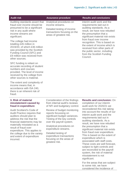| <b>Audit risk</b>                                                                                                                                                                                  | <b>Assurance procedure</b>                                                                                                                      | <b>Results and conclusions</b>                                                                                                                                                                    |
|----------------------------------------------------------------------------------------------------------------------------------------------------------------------------------------------------|-------------------------------------------------------------------------------------------------------------------------------------------------|---------------------------------------------------------------------------------------------------------------------------------------------------------------------------------------------------|
| Auditing standards assert that<br>fraud over income should be<br>presumed to be a significant<br>risk in any audit where<br>income streams are<br>significant.                                     | Analytical procedures on<br>income streams.<br>Detailed testing of income<br>transactions focusing on the<br>areas of greatest risk.            | interim audit work and the<br>requirements laid out in<br>auditing standards. As a<br>result, we have now rebutted<br>the presumption that a<br>significant material risk exists                  |
| The college had income<br>totalling £45 million in<br>2019/20, of which £36 million<br>was provided by the Scottish<br>Funding Council (SFC) and<br>£9 million was received from<br>other sources. |                                                                                                                                                 | from fraud over income<br>recognition. This is based on<br>the extent of income which is<br>received from other parts of<br>the public sector, including<br>from the Scottish Funding<br>Council. |
| SFC funding is reliant on<br>accurate recording of student<br>numbers and courses<br>provided. The level of income<br>received by the college from<br>other sources is material.                   |                                                                                                                                                 |                                                                                                                                                                                                   |
| The extent and complexity of<br>income means that, in<br>accordance with ISA 240,<br>there is an inherent risk of<br>fraud.                                                                        |                                                                                                                                                 |                                                                                                                                                                                                   |
| 3. Risk of material<br>misstatement caused by<br>fraud in expenditure                                                                                                                              | Consideration of the findings<br>from internal audit's reviews<br>of NFI and budgetary control.                                                 | <b>Results and conclusion: On</b><br>completion of our interim<br>audit work for 2020/21 we                                                                                                       |
| Audit Scotland's Code of<br><b>Audit Practice requires that</b><br>auditors should plan to<br>address the risk that the<br>financial statements may be                                             | Review of budget monitoring<br>reports focussing on<br>significant budget variances.<br>Testing of the key controls<br>over the payroll system. | reconsidered this risk taking<br>into account the results of our<br>interim audit work and the<br>requirements laid out in<br>auditing standards. As a<br>result, we have now rebutted            |
| materially misstated as a<br>rocult of froud over                                                                                                                                                  | Analytical procedures on                                                                                                                        | the presumption that a                                                                                                                                                                            |

result of fraud over expenditure. This applies to the college due to the variety and extent of expenditure incurred.

Analytical procedures on expenditure streams.

Detailed testing of expenditure transactions focusing on the areas of greatest risk.

> For the areas that are subject to some risk, we have considered the incidence of

> significant material risk exists from fraud over expenditure. This is based on the extent of

> associated with staff costs. These costs are well forecast, subject to tight controls and are reconciled to the payroll system, the risk of material

expenditure which is

misstatement is not

significant.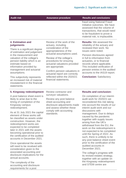| <b>Audit risk</b>                                                                                                                                                                                                                                                                                                                                                                                                                                                                                                                                                                     | <b>Assurance procedure</b>                                                                                                                                                                                                                                                                                                                                              | <b>Results and conclusions</b>                                                                                                                                                                                                                                                                                                                                                                                                                                                                                                                                                                                 |
|---------------------------------------------------------------------------------------------------------------------------------------------------------------------------------------------------------------------------------------------------------------------------------------------------------------------------------------------------------------------------------------------------------------------------------------------------------------------------------------------------------------------------------------------------------------------------------------|-------------------------------------------------------------------------------------------------------------------------------------------------------------------------------------------------------------------------------------------------------------------------------------------------------------------------------------------------------------------------|----------------------------------------------------------------------------------------------------------------------------------------------------------------------------------------------------------------------------------------------------------------------------------------------------------------------------------------------------------------------------------------------------------------------------------------------------------------------------------------------------------------------------------------------------------------------------------------------------------------|
|                                                                                                                                                                                                                                                                                                                                                                                                                                                                                                                                                                                       |                                                                                                                                                                                                                                                                                                                                                                         | fraud using National Fraud<br>Initiative outcomes. We have<br>assessed that the volume of<br>transactions, that would need<br>to be fraudulent to prove a<br>material risk, is implausible.                                                                                                                                                                                                                                                                                                                                                                                                                    |
| 4. Estimation and<br>judgements<br>There is a significant degree<br>of estimation and judgement<br>in the measurement and<br>valuation of the college's<br>pension liability which is an<br>estimate based on<br>information provided by<br>management and actuarial<br>assumptions.<br>This subjectivity represents<br>an increased risk of material<br>misstatement in the financial<br>statements.                                                                                                                                                                                 | Review of the work of the<br>actuary, including<br>consideration of the<br>appropriateness of the<br>actuarial assumptions used.<br>Review of the college's<br>procedures for ensuring<br>actuarial valuations provided<br>are appropriate.<br>Confirm pension valuations in<br>actuarial report are correctly<br>reflected within the 2020/21<br>financial statements. | <b>Results:</b> We assessed the<br>reliability of the actuary and<br>reviewed their work. No<br>issues were noted.<br>Pension disclosures agreed<br>in full to information from<br>actuaries, or to financial<br>records where applicable.<br>This included verification of<br>pension entries in the audited<br>accounts to the IAS19 report.<br><b>Conclusion: Satisfactory</b>                                                                                                                                                                                                                              |
| 5. Kingsway redevelopment<br>A post balance sheet event is<br>likely to arise due to the<br>timing of completion of the<br>Kingsway campus<br>redevelopment.<br>As at 31 July 2021 the capital<br>element of these works will<br>be classified as assets under<br>construction. However, the<br>redevelopment works are<br>expected to be completed<br>later in 2021 with the assets<br>becoming operational prior to<br>the certification of the audited<br>accounts in December 2021.<br>Once operational the assets<br>will need to be revalued with<br>consideration given to the | Review contractor and<br>surveyor valuations.<br>Review any post balance<br>sheet accounting and<br>disclosure adjustments made<br>and assess whether these<br>comply with accounting<br>standards.                                                                                                                                                                     | <b>Results and conclusion:</b><br>On completion of our interim<br>audit work for 2020/21 we<br>reconsidered this risk taking<br>into account the results of our<br>interim audit work and our<br>discussions with<br>management. Due to delays<br>caused by the pandemic<br>together with supply issues<br>arising from the UK's<br>withdrawal from the EU, the<br>work on the redevelopment is<br>not expected to be completed<br>until the Spring of 2022. As<br>such, there is unlikely to be<br>any post balance sheet event<br>prior to the certification of the<br>audited accounts in<br>December 2021. |
| associated accounting and<br>disclosure implications for the<br>annual accounts.<br>The complexity of the<br>accounting and disclosure<br>requirements for a post                                                                                                                                                                                                                                                                                                                                                                                                                     |                                                                                                                                                                                                                                                                                                                                                                         | The college's progress with<br>its revised estates strategy,<br>together with an update on<br>the Kingsway redevelopment<br>and STEM centre are                                                                                                                                                                                                                                                                                                                                                                                                                                                                |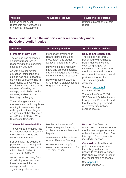**Audit risk Assurance procedure Results and conclusions**

balance sheet event represents an increased risk of material misstatement.

reflected in section 3 of this report.

# **Risks identified from the auditor's wider responsibility under the Code of Audit Practice**

| <b>Audit risk</b>                                                                                                                                                                                                                                                                                                                                                                                                                                                                                                                  | <b>Assurance procedure</b>                                                                                                                                                                                                                               | <b>Results and conclusions</b>                                                                                                                                                                                                                                                                                                                                |
|------------------------------------------------------------------------------------------------------------------------------------------------------------------------------------------------------------------------------------------------------------------------------------------------------------------------------------------------------------------------------------------------------------------------------------------------------------------------------------------------------------------------------------|----------------------------------------------------------------------------------------------------------------------------------------------------------------------------------------------------------------------------------------------------------|---------------------------------------------------------------------------------------------------------------------------------------------------------------------------------------------------------------------------------------------------------------------------------------------------------------------------------------------------------------|
| 6. Impact of Covid-19<br>The college has expended<br>significant resources in<br>responding to the disruption<br>caused by Covid19.                                                                                                                                                                                                                                                                                                                                                                                                | Monitor achievement of<br>Board Metrics, including<br>those relating to student<br>achievement and retention.<br>Review college's recovery                                                                                                               | <b>Results and conclusion:</b><br>The college has largely<br>performed well against its<br><b>Board Metrics, including</b><br>exceeding targets for<br>successful completion rates,                                                                                                                                                                           |
| As with all other further<br>education institutions, the<br>college has had to adapt to<br>delivering courses online in<br>accordance with Covid-19<br>restrictions. The nature of the<br>courses offered by the<br>college, particularly practical<br>courses, makes remote<br>teaching challenging.<br>The challenges caused by<br>the pandemic, including those<br>relating to remote learning,<br>will impact on the college's<br>ability to meet the objectives<br>of its 2025 Strategy - More<br><b>Successful Students.</b> | plans and progress against<br>strategic pledges and metrics<br>set out in the 2025 strategy.<br>Review results of 2020/21<br><b>SFC Student Satisfaction and</b><br><b>Engagement Survey.</b>                                                            | credit out-turn and student<br>recruitment. However, overall<br>positive outcomes for<br>students marginally<br>decreased.<br>See also appendix 1,<br>recommendation 5.<br>The results of the 2020/21<br><b>SFC Student Satisfaction and</b><br><b>Engagement Survey showed</b><br>that the college performed<br>well, exceeding national<br>average results. |
| 7. Financial sustainability<br>The Covid-19 pandemic has<br>had a fundamental impact on<br>the college's income and<br>expenditure streams.<br>For example, the college is<br>projecting that catering and<br>other income will be £0.879<br>million less in 2020/21<br>compared to 2019/20.                                                                                                                                                                                                                                       | Monitor achievement of<br>financial targets, including<br>achievement of student credit<br>targets.<br>Assessment of the college's<br>revised Financial Strategy.<br>Review of the college's<br><b>Financial Forecast Return for</b><br>2021/22-2023/24. | <b>Results: The financial</b><br>outturn and challenges for the<br>medium and longer term are<br>reflected in section 2 and 3 of<br>this report. Performance is<br>included in section 5.<br><b>Conclusion: As with most</b><br>public sector organisations,<br>the college will need to<br>update its medium to longer-<br>term financial plans to reflect   |
| As economic recovery from                                                                                                                                                                                                                                                                                                                                                                                                                                                                                                          |                                                                                                                                                                                                                                                          | the impact of the pandemic.                                                                                                                                                                                                                                                                                                                                   |

See [appendix 1,](#page-36-0) recommendation 3.

Covid-19 progresses, the financial outlook for the college is likely to be significantly different from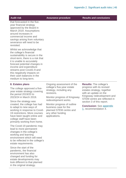| <b>Audit risk</b> |  |  |  |  |  |
|-------------------|--|--|--|--|--|
|-------------------|--|--|--|--|--|

Assurance procedure **Results and conclusions** 

that forecasted in the fiveyear financial strategy approved by the Board in March 2019. Assumptions around increases in commercial income and savings arising from voluntary severance will need to be revisited.

Whilst we acknowledge that the college's financial sustainability is secure in the short-term, there is a risk that it is unable to accurately forecast potential changes in income and expenditure streams post Covid1-9 and this negatively impacts on their cash balances in the medium to long-term.

#### **8. Estates plans**

The college approved a fiveyear estate strategy covering the period 2019/20 to 2023/24 in March 2019.

Since the strategy was created, the college has had to adapt to new ways of working in response to Covid-19 restrictions. More courses have been taught online and college staff have been primarily working from home.

The Covid-19 pandemic may lead to more permanent changes in the college's working and learning environment which will need to be reflected in the college's estate requirements.

Since the start of the pandemic, the financial environment has also changed and funding for estate developments may look different to that planned in the original strategy.

Ongoing assessment of the college's five-year estate strategy, including any revisions.

Monitor progress of Kingsway redevelopment works.

Monitor progress of outline business case for the planned STEM centre and any other funding applications.

**Results:** The college's progress with its revised estates strategy, together with an update on the Kingsway redevelopment and STEM centre are reflected in section 3 of this report.

**Conclusion:** See [appendix](#page-36-0)  [1,](#page-36-0) recommendation 4.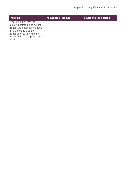| <b>Audit risk</b>                                                                                                                                                                           | <b>Assurance procedure</b> | <b>Results and conclusions</b> |
|---------------------------------------------------------------------------------------------------------------------------------------------------------------------------------------------|----------------------------|--------------------------------|
| There is a risk that the<br>existing estate plans do not<br>reflect the potential changes<br>in the college's estate<br>requirements and funding<br>opportunities in a post-Covid<br>world. |                            |                                |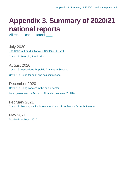# <span id="page-47-0"></span>**Appendix 3. Summary of 2020/21 national reports**

All reports can be found [here](https://www.audit-scotland.gov.uk/report/search)

July 2020 [The National Fraud Initiative in Scotland 2018/19](https://www.audit-scotland.gov.uk/report/the-national-fraud-initiative-in-scotland-201819)

[Covid-19: Emerging fraud risks](https://www.audit-scotland.gov.uk/report/covid-19-emerging-fraud-risks)

August 2020 [Covid-19: Implications for public finances in Scotland](https://www.audit-scotland.gov.uk/report/covid-19-financial-impact)

[Covid-19: Guide for audit and risk committees](https://www.audit-scotland.gov.uk/report/covid-19-guide-for-audit-and-risk-committees)

December 2020 [Covid-19: Going concern in the public sector](https://www.audit-scotland.gov.uk/report/covid-19-going-concern-in-the-public-sector)

Local government in Scotland: Financial overview 2019/20

February 2021 [Covid-19: Tracking the implications of Covid-19 on Scotland's public finances](https://www.audit-scotland.gov.uk/report/covid-19-tracking-the-implications-of-covid-19-on-scotlands-public-finances)

May 2021 [Scotland's colleges 2020](https://www.audit-scotland.gov.uk/report/scotlands-colleges-2020)